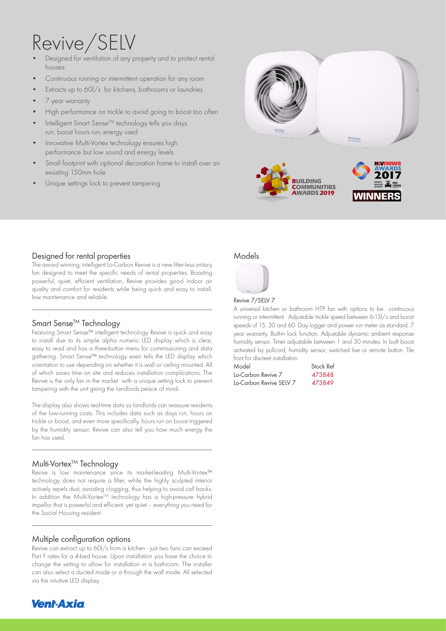# Revive/SELV

- Designed for ventilation of any property and to protect rental houses
- Continuous running or intermittent operation for any room
- Extracts up to 60l/s for kitchens, bathrooms or laundries
- 7 year warranty
- High performance on trickle to avoid going to boost too often
- Intelligent Smart Sense™ technology tells you days run, boost hours run, energy used
- Innovative Multi-Vortex technology ensures high performance but low sound and energy levels
- Small footprint with optional decoration frame to install over an exsisting 150mm hole
- Unique settings lock to prevent tampering



### Designed for rental properties

The award winning, intelligent Lo-Carbon Revive is a new filter-less unitary fan designed to meet the specific needs of rental properties. Boasting powerful, quiet, efficient ventilation, Revive provides good indoor air quality and comfort for residents while being quick and easy to install, low maintenance and reliable.

# Smart Sense<sup>™</sup> Technology

Featuring Smart Sense™ intelligent technology Revive is quick and easy to install due to its simple alpha numeric LED display which is clear, easy to read and has a three-button menu for commissioning and data aathering. Smart Sense™ technology even tells the LED display which orientation to use depending on whether it is wall or ceiling mounted. All of which saves time on site and reduces installation complications. The Revive is the only fan in the market with a unique setting lock to prevent tampering with the unit giving the landlords peace of mind.

The display also shows real-time data so landlords can reassure residents of the low-running costs. This includes data such as days run, hours on trickle or boost, and even more specifically, hours run on boost triggered by the humidity sensor. Revive can also tell you how much energy the fan has used.

# Multi-Vortex<sup>™</sup> Technology

Revive is low maintenance since its market-leading Multi-Vortex™ technology does not require a filter, while the highly sculpted interior actively repels dust, avoiding clogging, thus helping to avoid call backs. In addition the Multi-VortexTM technology has a high-pressure hybrid impellor that is powerful and efficient, yet quiet – everything you need for the Social Housing resident.

#### Multiple configuration options

Revive can extract up to 60l/s from a kitchen - just two fans can exceed Part F rates for a 4-bed house. Upon installation you have the choice to change the setting to allow for installation in a bathroom. The installer can also select a ducted mode or a through the wall mode. All selected via the intuitive LED display.



### Models



#### Revive 7/SELV 7

A universal kitchen or bathroom HTP fan with options to be continuous running or intermittent. Adjustable trickle speed between 6-13l/s and boost speeds of 15, 30 and 60. Day logger and power run meter as standard. 7 year warranty. Built-in lock function. Adjustable dynamic ambient response humidity sensor. Timer adjustable between 1 and 30 minutes. In built boost activated by pullcord, humidity sensor, switched live or remote button. Tile front for discreet installation.

| Model                   | Stock Ref |
|-------------------------|-----------|
| Lo-Carbon Revive 7      | 473848    |
| Lo-Carbon Revive SELV 7 | 473849    |